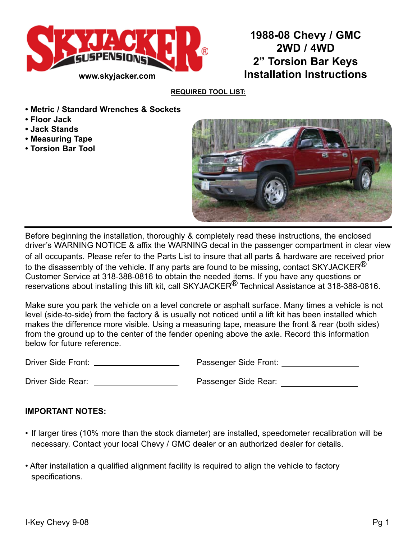

**1988-08 Chevy / GMC 2WD / 4WD 2" Torsion Bar Keys Installation Instructions**

#### **Required Tool List:**

- **Metric / Standard Wrenches & Sockets**
- **Floor Jack**
- **Jack Stands**
- **Measuring Tape**
- **Torsion Bar Tool**



Before beginning the installation, thoroughly & completely read these instructions, the enclosed driver's WARNING NOTICE & affix the WARNING decal in the passenger compartment in clear view of all occupants. Please refer to the Parts List to insure that all parts & hardware are received prior to the disassembly of the vehicle. If any parts are found to be missing, contact SKYJACKER $^{\circledR}$ Customer Service at 318-388-0816 to obtain the needed items. If you have any questions or reservations about installing this lift kit, call SKYJACKER<sup>®</sup> Technical Assistance at 318-388-0816.

Make sure you park the vehicle on a level concrete or asphalt surface. Many times a vehicle is not level (side-to-side) from the factory & is usually not noticed until a lift kit has been installed which makes the difference more visible. Using a measuring tape, measure the front & rear (both sides) from the ground up to the center of the fender opening above the axle. Record this information below for future reference.

Driver Side Front: Passenger Side Front:

Driver Side Rear: Passenger Side Rear:

### **IMPORTANT NOTES:**

- If larger tires (10% more than the stock diameter) are installed, speedometer recalibration will be necessary. Contact your local Chevy / GMC dealer or an authorized dealer for details.
- After installation a qualified alignment facility is required to align the vehicle to factory specifications.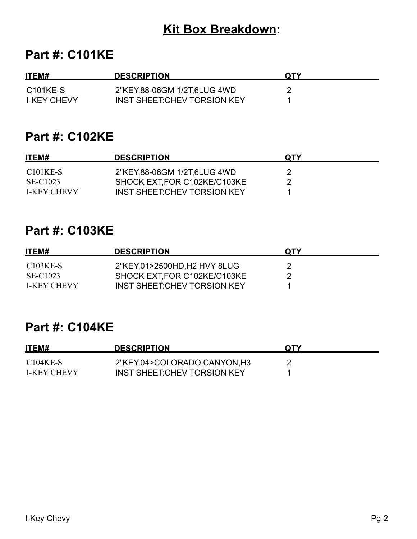# **Kit Box Breakdown:**

## **Part #: C101KE**

| ITEM#              | <b>DESCRIPTION</b>           | <b>QTY</b> |
|--------------------|------------------------------|------------|
| C101KE-S           | 2"KEY,88-06GM 1/2T,6LUG 4WD  |            |
| <b>I-KEY CHEVY</b> | INST SHEET: CHEV TORSION KEY |            |

## **Part #: C102KE**

| ITEM#                 | <b>DESCRIPTION</b>           | <b>OTY</b> |  |
|-----------------------|------------------------------|------------|--|
| C <sub>101</sub> KE-S | 2"KEY,88-06GM 1/2T,6LUG 4WD  |            |  |
| SE-C1023              | SHOCK EXT, FOR C102KE/C103KE |            |  |
| <b>I-KEY CHEVY</b>    | INST SHEET:CHEV TORSION KEY  |            |  |

## **Part #: C103KE**

| ITEM#              | <b>DESCRIPTION</b>           | <b>OTY</b> |
|--------------------|------------------------------|------------|
| $C103KE-S$         | 2"KEY,01>2500HD,H2 HVY 8LUG  |            |
| SE-C1023           | SHOCK EXT, FOR C102KE/C103KE |            |
| <b>I-KEY CHEVY</b> | INST SHEET: CHEV TORSION KEY |            |

## **Part #: C104KE**

| ITEM#             | <b>DESCRIPTION</b>                 | <b>QTY</b> |
|-------------------|------------------------------------|------------|
| $C104KE-S$        | 2"KEY,04>COLORADO,CANYON,H3        |            |
| <b>LKEY CHEVY</b> | <b>INST SHEET CHEV TORSION KEY</b> |            |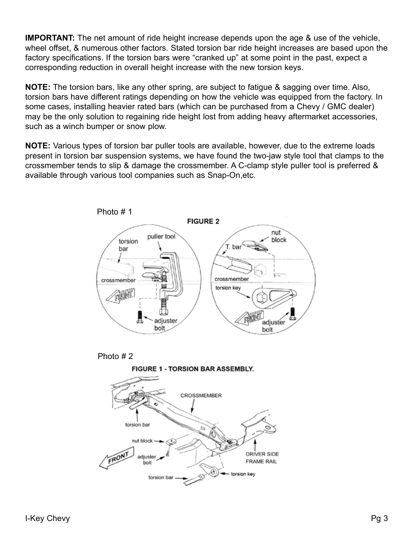**IMPORTANT:** The net amount of ride height increase depends upon the age & use of the vehicle, wheel offset, & numerous other factors. Stated torsion bar ride height increases are based upon the factory specifications. If the torsion bars were "cranked up" at some point in the past, expect a corresponding reduction in overall height increase with the new torsion keys.

**NOTE:** The torsion bars, like any other spring, are subject to fatigue & sagging over time. Also, torsion bars have different ratings depending on how the vehicle was equipped from the factory. In some cases, installing heavier rated bars (which can be purchased from a Chevy / GMC dealer) may be the only solution to regaining ride height lost from adding heavy aftermarket accessories, such as a winch bumper or snow plow.

**NOTE:** Various types of torsion bar puller tools are available, however, due to the extreme loads present in torsion bar suspension systems, we have found the two-jaw style tool that clamps to the crossmember tends to slip & damage the crossmember. A C-clamp style puller tool is preferred & available through various tool companies such as Snap-On,etc.







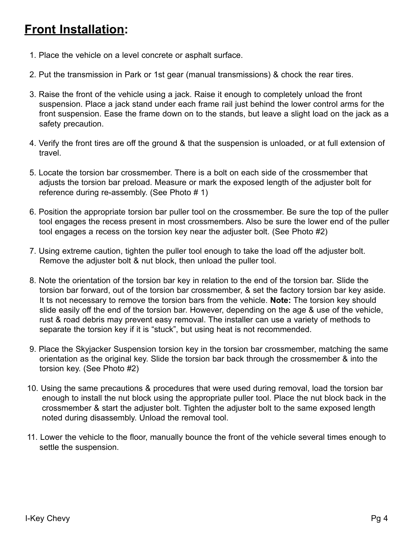# **Front Installation:**

- 1. Place the vehicle on a level concrete or asphalt surface.
- 2. Put the transmission in Park or 1st gear (manual transmissions) & chock the rear tires.
- 3. Raise the front of the vehicle using a jack. Raise it enough to completely unload the front suspension. Place a jack stand under each frame rail just behind the lower control arms for the front suspension. Ease the frame down on to the stands, but leave a slight load on the jack as a safety precaution.
- 4. Verify the front tires are off the ground & that the suspension is unloaded, or at full extension of travel.
- 5. Locate the torsion bar crossmember. There is a bolt on each side of the crossmember that adjusts the torsion bar preload. Measure or mark the exposed length of the adjuster bolt for reference during re-assembly. (See Photo # 1)
- 6. Position the appropriate torsion bar puller tool on the crossmember. Be sure the top of the puller tool engages the recess present in most crossmembers. Also be sure the lower end of the puller tool engages a recess on the torsion key near the adjuster bolt. (See Photo #2)
- 7. Using extreme caution, tighten the puller tool enough to take the load off the adjuster bolt. Remove the adjuster bolt & nut block, then unload the puller tool.
- 8. Note the orientation of the torsion bar key in relation to the end of the torsion bar. Slide the torsion bar forward, out of the torsion bar crossmember, & set the factory torsion bar key aside. It ts not necessary to remove the torsion bars from the vehicle. **Note:** The torsion key should slide easily off the end of the torsion bar. However, depending on the age & use of the vehicle, rust & road debris may prevent easy removal. The installer can use a variety of methods to separate the torsion key if it is "stuck", but using heat is not recommended.
- 9. Place the Skyjacker Suspension torsion key in the torsion bar crossmember, matching the same orientation as the original key. Slide the torsion bar back through the crossmember & into the torsion key. (See Photo #2)
- 10. Using the same precautions & procedures that were used during removal, load the torsion bar enough to install the nut block using the appropriate puller tool. Place the nut block back in the crossmember & start the adjuster bolt. Tighten the adjuster bolt to the same exposed length noted during disassembly. Unload the removal tool.
- 11. Lower the vehicle to the floor, manually bounce the front of the vehicle several times enough to settle the suspension.